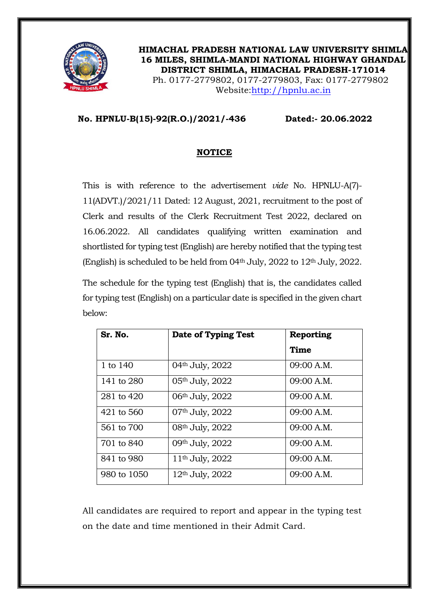

**HIMACHAL PRADESH NATIONAL LAW UNIVERSITY SHIMLA 16 MILES, SHIMLA-MANDI NATIONAL HIGHWAY GHANDAL DISTRICT SHIMLA, HIMACHAL PRADESH-171014** Ph. 0177-2779802, 0177-2779803, Fax: 0177-2779802 Website[:http://hpnlu.ac.in](http://hpnlu.ac.in/)

## **No. HPNLU-B(15)-92(R.O.)/2021/-436 Dated:- 20.06.2022**

## **NOTICE**

This is with reference to the advertisement *vide* No. HPNLU-A(7)- 11(ADVT.)/2021/11 Dated: 12 August, 2021, recruitment to the post of Clerk and results of the Clerk Recruitment Test 2022, declared on 16.06.2022. All candidates qualifying written examination and shortlisted for typing test (English) are hereby notified that the typing test (English) is scheduled to be held from  $04<sup>th</sup>$  July,  $2022$  to  $12<sup>th</sup>$  July,  $2022$ .

The schedule for the typing test (English) that is, the candidates called for typing test (English) on a particular date is specified in the given chart below:

| Sr. No.     | Date of Typing Test         | Reporting   |
|-------------|-----------------------------|-------------|
|             |                             | <b>Time</b> |
| 1 to 140    | 04 <sup>th</sup> July, 2022 | 09:00 A.M.  |
| 141 to 280  | 05 <sup>th</sup> July, 2022 | 09:00 A.M.  |
| 281 to 420  | 06 <sup>th</sup> July, 2022 | 09:00 A.M.  |
| 421 to 560  | 07 <sup>th</sup> July, 2022 | 09:00 A.M.  |
| 561 to 700  | 08th July, 2022             | 09:00 A.M.  |
| 701 to 840  | 09th July, 2022             | 09:00 A.M.  |
| 841 to 980  | 11 <sup>th</sup> July, 2022 | 09:00 A.M.  |
| 980 to 1050 | 12 <sup>th</sup> July, 2022 | 09:00 A.M.  |

All candidates are required to report and appear in the typing test on the date and time mentioned in their Admit Card.